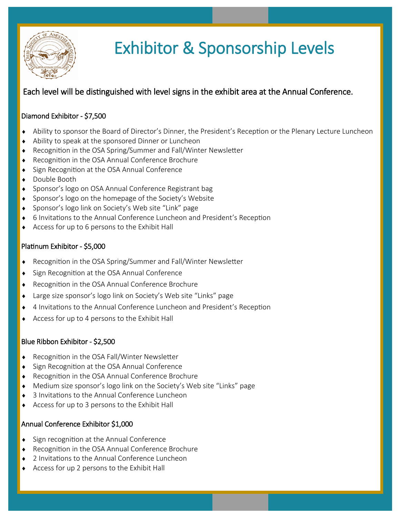

# Exhibitor & Sponsorship Levels

# Each level will be distinguished with level signs in the exhibit area at the Annual Conference.

## Diamond Exhibitor - \$7,500

- Ability to sponsor the Board of Director's Dinner, the President's Reception or the Plenary Lecture Luncheon
- Ability to speak at the sponsored Dinner or Luncheon
- Recognition in the OSA Spring/Summer and Fall/Winter Newsletter
- ◆ Recognition in the OSA Annual Conference Brochure
- Sign Recognition at the OSA Annual Conference
- ◆ Double Booth
- ◆ Sponsor's logo on OSA Annual Conference Registrant bag
- ◆ Sponsor's logo on the homepage of the Society's Website
- Sponsor's logo link on Society's Web site "Link" page
- 6 Invitations to the Annual Conference Luncheon and President's Reception
- Access for up to 6 persons to the Exhibit Hall

### Platinum Exhibitor - \$5,000

- Recognition in the OSA Spring/Summer and Fall/Winter Newsletter
- ◆ Sign Recognition at the OSA Annual Conference
- Recognition in the OSA Annual Conference Brochure
- Large size sponsor's logo link on Society's Web site "Links" page
- 4 Invitations to the Annual Conference Luncheon and President's Reception
- Access for up to 4 persons to the Exhibit Hall

#### Blue Ribbon Exhibitor - \$2,500

- ◆ Recognition in the OSA Fall/Winter Newsletter
- Sign Recognition at the OSA Annual Conference
- Recognition in the OSA Annual Conference Brochure
- Medium size sponsor's logo link on the Society's Web site "Links" page
- 3 Invitations to the Annual Conference Luncheon
- Access for up to 3 persons to the Exhibit Hall

#### Annual Conference Exhibitor \$1,000

- Sign recognition at the Annual Conference
- Recognition in the OSA Annual Conference Brochure
- 2 Invitations to the Annual Conference Luncheon
- Access for up 2 persons to the Exhibit Hall